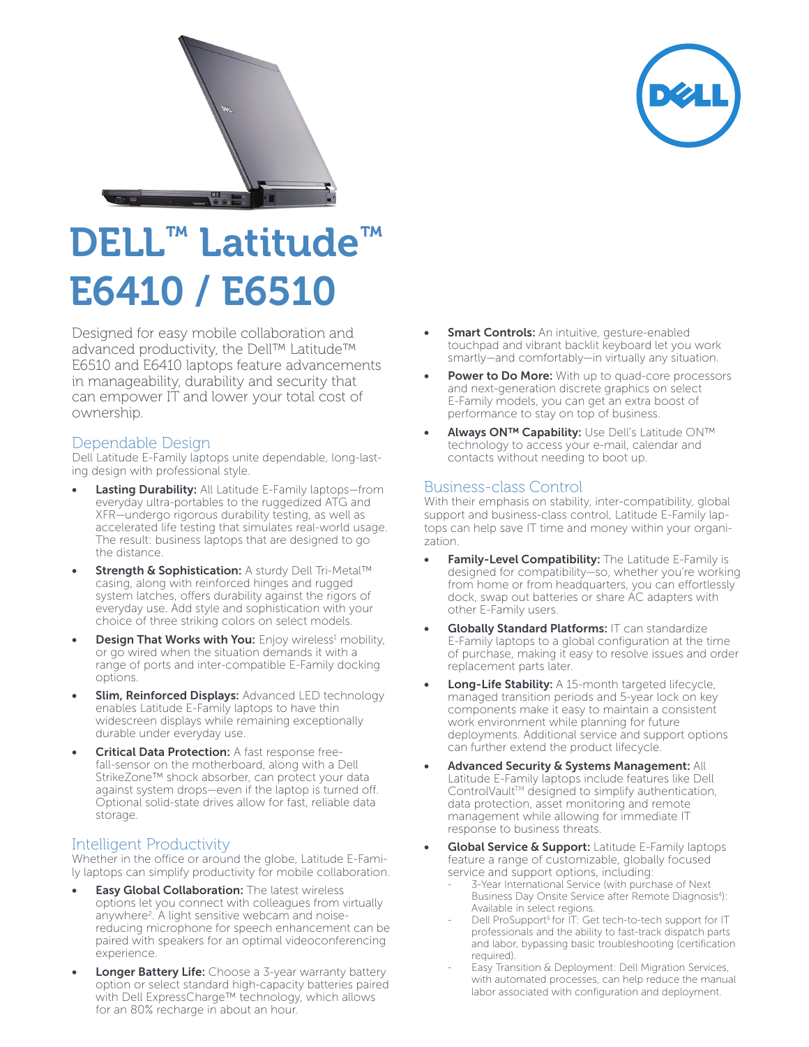



## DELL™ Latitude™ E6410 / E6510

Designed for easy mobile collaboration and advanced productivity, the Dell™ Latitude™ E6510 and E6410 laptops feature advancements in manageability, durability and security that can empower IT and lower your total cost of ownership.

## Dependable Design

Dell Latitude E-Family laptops unite dependable, long-lasting design with professional style.

- Lasting Durability: All Latitude E-Family laptops-from everyday ultra-portables to the ruggedized ATG and XFR—undergo rigorous durability testing, as well as accelerated life testing that simulates real-world usage. The result: business laptops that are designed to go the distance.
- Strength & Sophistication: A sturdy Dell Tri-Metal™ casing, along with reinforced hinges and rugged system latches, offers durability against the rigors of everyday use. Add style and sophistication with your choice of three striking colors on select models.
- Design That Works with You: Enjoy wireless<sup>1</sup> mobility, or go wired when the situation demands it with a range of ports and inter-compatible E-Family docking options.
- Slim, Reinforced Displays: Advanced LED technology enables Latitude E-Family laptops to have thin widescreen displays while remaining exceptionally durable under everyday use.
- **Critical Data Protection:** A fast response freefall-sensor on the motherboard, along with a Dell StrikeZone™ shock absorber, can protect your data against system drops—even if the laptop is turned off. Optional solid-state drives allow for fast, reliable data storage.

## Intelligent Productivity

Whether in the office or around the globe, Latitude E-Family laptops can simplify productivity for mobile collaboration.

- **Easy Global Collaboration:** The latest wireless options let you connect with colleagues from virtually anywhere<sup>2</sup>. A light sensitive webcam and noisereducing microphone for speech enhancement can be paired with speakers for an optimal videoconferencing experience.
- Longer Battery Life: Choose a 3-year warranty battery option or select standard high-capacity batteries paired with Dell ExpressCharge™ technology, which allows for an 80% recharge in about an hour.
- **Smart Controls:** An intuitive, gesture-enabled touchpad and vibrant backlit keyboard let you work smartly—and comfortably—in virtually any situation.
- Power to Do More: With up to quad-core processors and next-generation discrete graphics on select E-Family models, you can get an extra boost of performance to stay on top of business.
- Always ON™ Capability: Use Dell's Latitude ON™ technology to access your e-mail, calendar and contacts without needing to boot up.

## Business-class Control

With their emphasis on stability, inter-compatibility, global support and business-class control, Latitude E-Family laptops can help save IT time and money within your organization.

- Family-Level Compatibility: The Latitude E-Family is designed for compatibility—so, whether you're working from home or from headquarters, you can effortlessly dock, swap out batteries or share AC adapters with other E-Family users.
- Globally Standard Platforms: IT can standardize E-Family laptops to a global configuration at the time of purchase, making it easy to resolve issues and order replacement parts later.
- Long-Life Stability: A 15-month targeted lifecycle, managed transition periods and 5-year lock on key components make it easy to maintain a consistent work environment while planning for future deployments. Additional service and support options can further extend the product lifecycle.
- Advanced Security & Systems Management: All Latitude E-Family laptops include features like Dell ControlVault™ designed to simplify authentication, data protection, asset monitoring and remote management while allowing for immediate IT response to business threats.
- **Global Service & Support:** Latitude E-Family laptops feature a range of customizable, globally focused service and support options, including:
	- 3-Year International Service (with purchase of Next Business Day Onsite Service after Remote Diagnosis4): Available in select regions.
	- Dell ProSupport<sup>5</sup> for IT: Get tech-to-tech support for IT professionals and the ability to fast-track dispatch parts and labor, bypassing basic troubleshooting (certification required).
	- Easy Transition & Deployment: Dell Migration Services, with automated processes, can help reduce the manual labor associated with configuration and deployment.